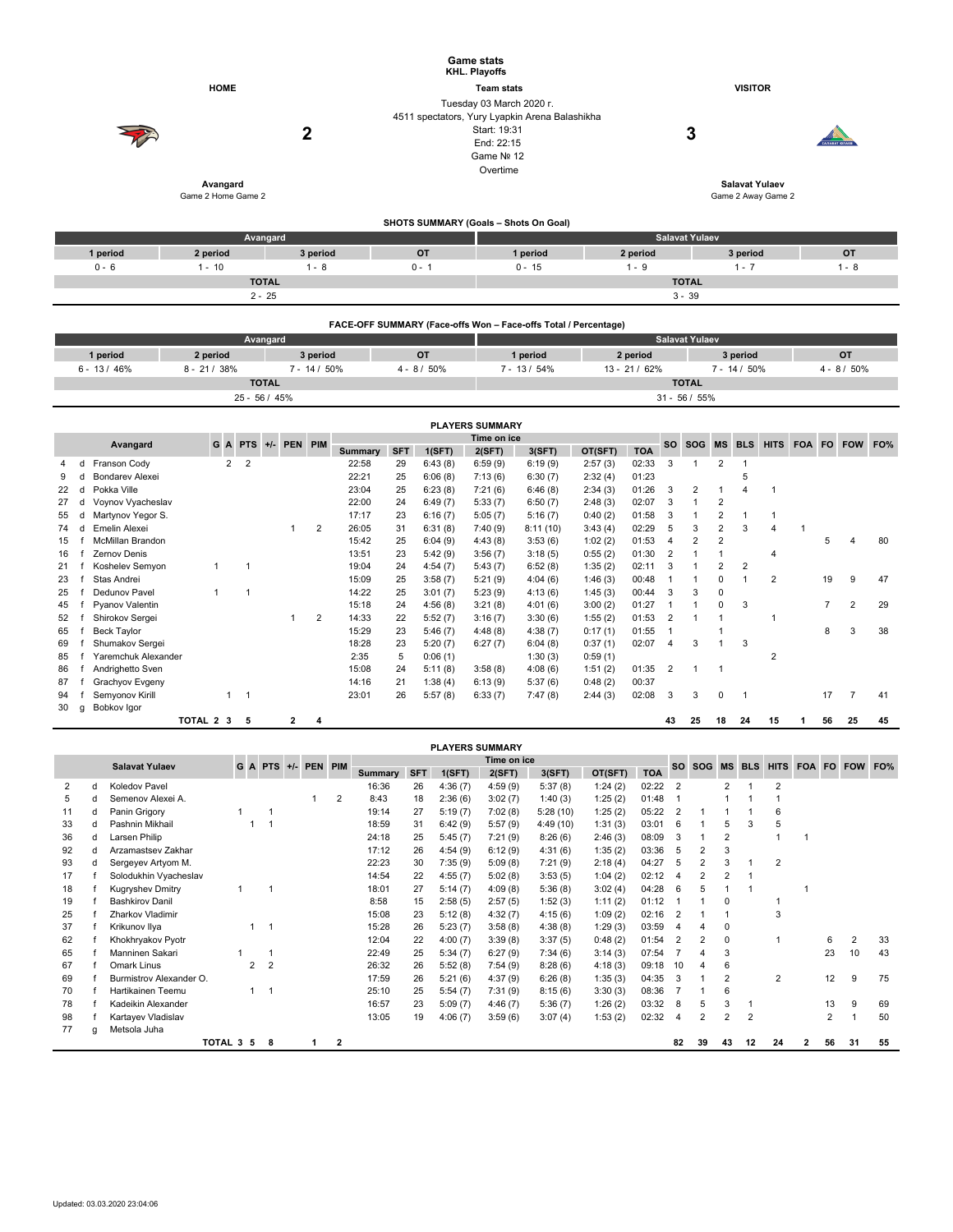|          |                                |          | <b>Game stats</b><br>KHL. Playoffs    |                                                                                                                                    |                       |                                                                           |           |  |  |  |  |
|----------|--------------------------------|----------|---------------------------------------|------------------------------------------------------------------------------------------------------------------------------------|-----------------------|---------------------------------------------------------------------------|-----------|--|--|--|--|
|          | <b>HOME</b>                    |          |                                       | <b>Team stats</b>                                                                                                                  |                       | <b>VISITOR</b>                                                            |           |  |  |  |  |
|          | Avangard<br>Game 2 Home Game 2 | 2        |                                       | Tuesday 03 March 2020 r.<br>4511 spectators, Yury Lyapkin Arena Balashikha<br>Start: 19:31<br>End: 22:15<br>Game Nº 12<br>Overtime |                       | 3<br><b>CARABAT KORAER</b><br><b>Salavat Yulaev</b><br>Game 2 Away Game 2 |           |  |  |  |  |
|          |                                |          | SHOTS SUMMARY (Goals - Shots On Goal) |                                                                                                                                    |                       |                                                                           |           |  |  |  |  |
|          | Avangard                       |          |                                       |                                                                                                                                    | <b>Salavat Yulaev</b> |                                                                           |           |  |  |  |  |
| 1 period | 2 period                       | 3 period | <b>OT</b>                             | 1 period                                                                                                                           | 2 period              | 3 period                                                                  | <b>OT</b> |  |  |  |  |
| $0 - 6$  | $1 - 10$                       | $1 - 8$  | $0 - 1$                               | $0 - 15$                                                                                                                           | $1 - 9$               | $1 - 7$                                                                   | $1 - 8$   |  |  |  |  |
|          | <b>TOTAL</b>                   |          |                                       |                                                                                                                                    | <b>TOTAL</b>          |                                                                           |           |  |  |  |  |

|              | FACE-OFF SUMMARY (Face-offs Won - Face-offs Total / Percentage) |                 |                |                       |                  |               |                |  |  |  |  |  |  |  |  |
|--------------|-----------------------------------------------------------------|-----------------|----------------|-----------------------|------------------|---------------|----------------|--|--|--|--|--|--|--|--|
|              |                                                                 | Avangard        |                | <b>Salavat Yulaev</b> |                  |               |                |  |  |  |  |  |  |  |  |
| 1 period     | 2 period                                                        | 3 period        | <b>OT</b>      | 1 period              | 2 period         | <b>OT</b>     |                |  |  |  |  |  |  |  |  |
| $6 - 13/46%$ | $8 - 21/38%$                                                    | $7 - 14/50\%$   | $4 - 8 / 50\%$ | $7 - 13/54\%$         | $13 - 21/62%$    | $7 - 14/50\%$ | $4 - 8 / 50\%$ |  |  |  |  |  |  |  |  |
|              |                                                                 | <b>TOTAL</b>    |                | <b>TOTAL</b>          |                  |               |                |  |  |  |  |  |  |  |  |
|              |                                                                 | $25 - 56 / 45%$ |                |                       | $31 - 56 / 55\%$ |               |                |  |  |  |  |  |  |  |  |

 $2 - 25$  3 - 39

|                                                | <b>PLAYERS SUMMARY</b> |                        |           |                |                |  |   |   |                |            |           |            |           |            |             |                |                |                |                |                |    |                |    |
|------------------------------------------------|------------------------|------------------------|-----------|----------------|----------------|--|---|---|----------------|------------|-----------|------------|-----------|------------|-------------|----------------|----------------|----------------|----------------|----------------|----|----------------|----|
| Time on ice<br>+/- PEN PIM<br>GA<br><b>PTS</b> |                        |                        |           |                |                |  |   |   |                |            | <b>SO</b> | <b>SOG</b> | <b>MS</b> | <b>BLS</b> | <b>HITS</b> |                | FOA FO FOW     | FO%            |                |                |    |                |    |
|                                                |                        | Avangard               |           |                |                |  |   |   | <b>Summary</b> | <b>SFT</b> | 1(SFT)    | 2(SFT)     | 3(SFT)    | OT(SFT)    | <b>TOA</b>  |                |                |                |                |                |    |                |    |
| 4                                              |                        | Franson Cody           |           | $\overline{2}$ | $\overline{2}$ |  |   |   | 22:58          | 29         | 6:43(8)   | 6:59(9)    | 6:19(9)   | 2:57(3)    | 02:33       | 3              |                | $\overline{2}$ |                |                |    |                |    |
|                                                |                        | <b>Bondarev Alexei</b> |           |                |                |  |   |   | 22:21          | 25         | 6:06(8)   | 7:13(6)    | 6:30(7)   | 2:32(4)    | 01:23       |                |                |                | 5              |                |    |                |    |
| 22                                             |                        | Pokka Ville            |           |                |                |  |   |   | 23:04          | 25         | 6:23(8)   | 7:21(6)    | 6:46(8)   | 2:34(3)    | 01:26       | 3              | $\overline{2}$ |                |                |                |    |                |    |
| 27                                             |                        | Voynov Vyacheslav      |           |                |                |  |   |   | 22:00          | 24         | 6:49(7)   | 5:33(7)    | 6:50(7)   | 2:48(3)    | 02:07       | 3              |                | 2              |                |                |    |                |    |
| 55                                             |                        | Martynov Yegor S.      |           |                |                |  |   |   | 17:17          | 23         | 6:16(7)   | 5:05(7)    | 5:16(7)   | 0:40(2)    | 01:58       | 3              |                | 2              |                | $\mathbf{1}$   |    |                |    |
| 74                                             |                        | Emelin Alexei          |           |                |                |  |   | 2 | 26:05          | 31         | 6:31(8)   | 7:40(9)    | 8:11(10)  | 3:43(4)    | 02:29       | 5              | 3              | 2              | 3              | $\overline{4}$ |    |                |    |
| 15                                             |                        | McMillan Brandon       |           |                |                |  |   |   | 15:42          | 25         | 6:04(9)   | 4:43(8)    | 3:53(6)   | 1:02(2)    | 01:53       | 4              | 2              | $\overline{2}$ |                |                | 5  |                | 80 |
| 16                                             |                        | Zernov Denis           |           |                |                |  |   |   | 13:51          | 23         | 5:42(9)   | 3:56(7)    | 3:18(5)   | 0:55(2)    | 01:30       | $\overline{2}$ |                |                |                | $\overline{4}$ |    |                |    |
| 21                                             |                        | Koshelev Semyon        |           |                |                |  |   |   | 19:04          | 24         | 4:54(7)   | 5:43(7)    | 6:52(8)   | 1:35(2)    | 02:11       | 3              |                | 2              | $\overline{2}$ |                |    |                |    |
| 23                                             |                        | Stas Andrei            |           |                |                |  |   |   | 15:09          | 25         | 3:58(7)   | 5:21(9)    | 4:04(6)   | 1:46(3)    | 00:48       |                |                | 0              |                | $\overline{2}$ | 19 | 9              | 47 |
| 25                                             |                        | Dedunov Pavel          |           |                | 1              |  |   |   | 14:22          | 25         | 3:01(7)   | 5:23(9)    | 4:13(6)   | 1:45(3)    | 00:44       | 3              | 3              | 0              |                |                |    |                |    |
| 45                                             |                        | Pyanov Valentin        |           |                |                |  |   |   | 15:18          | 24         | 4:56(8)   | 3:21(8)    | 4:01(6)   | 3:00(2)    | 01:27       |                |                | 0              | 3              |                |    | $\overline{2}$ | 29 |
| 52                                             |                        | Shirokov Sergei        |           |                |                |  |   | 2 | 14:33          | 22         | 5:52(7)   | 3:16(7)    | 3:30(6)   | 1:55(2)    | 01:53       | $\overline{2}$ |                |                |                |                |    |                |    |
| 65                                             |                        | <b>Beck Taylor</b>     |           |                |                |  |   |   | 15:29          | 23         | 5:46(7)   | 4:48(8)    | 4:38(7)   | 0:17(1)    | 01:55       |                |                |                |                |                | 8  | 3              | 38 |
| 69                                             |                        | Shumakov Sergei        |           |                |                |  |   |   | 18:28          | 23         | 5:20(7)   | 6:27(7)    | 6:04(8)   | 0:37(1)    | 02:07       | 4              | 3              |                | 3              |                |    |                |    |
| 85                                             |                        | Yaremchuk Alexander    |           |                |                |  |   |   | 2:35           | 5          | 0:06(1)   |            | 1:30(3)   | 0:59(1)    |             |                |                |                |                | $\overline{2}$ |    |                |    |
| 86                                             |                        | Andrighetto Sven       |           |                |                |  |   |   | 15:08          | 24         | 5:11(8)   | 3:58(8)    | 4:08(6)   | 1:51(2)    | 01:35       | $\overline{2}$ |                |                |                |                |    |                |    |
| 87                                             |                        | Grachyov Evgeny        |           |                |                |  |   |   | 14:16          | 21         | 1:38(4)   | 6:13(9)    | 5:37(6)   | 0:48(2)    | 00:37       |                |                |                |                |                |    |                |    |
| 94                                             |                        | Semyonov Kirill        |           |                | $\overline{1}$ |  |   |   | 23:01          | 26         | 5:57(8)   | 6:33(7)    | 7:47(8)   | 2:44(3)    | 02:08       | 3              | 3              | 0              |                |                | 17 | 7              | 41 |
| 30                                             | a                      | Bobkov Igor            |           |                |                |  |   |   |                |            |           |            |           |            |             |                |                |                |                |                |    |                |    |
|                                                |                        |                        | TOTAL 2 3 |                | 5              |  | 2 | 4 |                |            |           |            |           |            |             | 43             | 25             | 18             | 24             | 15             | 56 | 25             | 45 |

|    | <b>PLAYERS SUMMARY</b> |                                                             |                                                                       |   |                |  |                |       |    |            |         |           |                    |       |                |                |                |                |                |   |                |    |    |
|----|------------------------|-------------------------------------------------------------|-----------------------------------------------------------------------|---|----------------|--|----------------|-------|----|------------|---------|-----------|--------------------|-------|----------------|----------------|----------------|----------------|----------------|---|----------------|----|----|
|    |                        | Time on ice<br>G A PTS +/- PEN PIM<br><b>Salavat Yulaev</b> |                                                                       |   |                |  |                |       |    |            |         |           | SO SOG MS BLS HITS |       |                |                |                |                | FOA FO FOW FO% |   |                |    |    |
|    |                        |                                                             | <b>Summary</b><br>2(SFT)<br><b>SFT</b><br>3(SFT)<br>OT(SFT)<br>1(SFT) |   |                |  |                |       |    | <b>TOA</b> |         |           |                    |       |                |                |                |                |                |   |                |    |    |
| 2  | d                      | Koledov Pavel                                               |                                                                       |   |                |  |                | 16:36 | 26 | 4:36(7)    | 4:59(9) | 5:37(8)   | 1:24(2)            | 02:22 | $\overline{2}$ |                | $\overline{2}$ |                | $\overline{2}$ |   |                |    |    |
| 5  | d                      | Semenov Alexei A.                                           |                                                                       |   |                |  | $\overline{2}$ | 8:43  | 18 | 2:36(6)    | 3:02(7) | 1:40(3)   | 1:25(2)            | 01:48 |                |                |                |                |                |   |                |    |    |
| 11 | d                      | Panin Grigory                                               |                                                                       |   |                |  |                | 19:14 | 27 | 5:19(7)    | 7:02(8) | 5:28(10)  | 1:25(2)            | 05:22 | $\overline{2}$ |                |                |                | 6              |   |                |    |    |
| 33 | d                      | Pashnin Mikhail                                             |                                                                       |   |                |  |                | 18:59 | 31 | 6:42(9)    | 5:57(9) | 4:49 (10) | 1:31(3)            | 03:01 | 6              |                | 5              | 3              | 5              |   |                |    |    |
| 36 | d                      | Larsen Philip                                               |                                                                       |   |                |  |                | 24:18 | 25 | 5:45(7)    | 7:21(9) | 8:26(6)   | 2:46(3)            | 08:09 | 3              |                | $\overline{2}$ |                |                |   |                |    |    |
| 92 | d                      | Arzamastsev Zakhar                                          |                                                                       |   |                |  |                | 17:12 | 26 | 4:54(9)    | 6:12(9) | 4:31(6)   | 1:35(2)            | 03:36 | 5              | $\overline{2}$ | 3              |                |                |   |                |    |    |
| 93 | d                      | Sergeyev Artyom M.                                          |                                                                       |   |                |  |                | 22:23 | 30 | 7:35(9)    | 5:09(8) | 7:21(9)   | 2:18(4)            | 04:27 | 5              |                | 3              |                | $\overline{2}$ |   |                |    |    |
| 17 |                        | Solodukhin Vyacheslav                                       |                                                                       |   |                |  |                | 14:54 | 22 | 4:55(7)    | 5:02(8) | 3:53(5)   | 1:04(2)            | 02:12 | $\overline{4}$ | $\overline{2}$ | $\overline{2}$ |                |                |   |                |    |    |
| 18 |                        | <b>Kugryshev Dmitry</b>                                     |                                                                       |   |                |  |                | 18:01 | 27 | 5:14(7)    | 4:09(8) | 5:36(8)   | 3:02(4)            | 04:28 | 6              | 5              |                |                |                |   |                |    |    |
| 19 |                        | <b>Bashkirov Danil</b>                                      |                                                                       |   |                |  |                | 8:58  | 15 | 2:58(5)    | 2:57(5) | 1:52(3)   | 1:11(2)            | 01:12 |                |                | $\Omega$       |                |                |   |                |    |    |
| 25 |                        | Zharkov Vladimir                                            |                                                                       |   |                |  |                | 15:08 | 23 | 5:12(8)    | 4:32(7) | 4:15(6)   | 1:09(2)            | 02:16 | $\overline{2}$ |                |                |                | 3              |   |                |    |    |
| 37 |                        | Krikunov Ilya                                               |                                                                       | 1 |                |  |                | 15:28 | 26 | 5:23(7)    | 3:58(8) | 4:38(8)   | 1:29(3)            | 03:59 | 4              |                | 0              |                |                |   |                |    |    |
| 62 |                        | Khokhryakov Pyotr                                           |                                                                       |   |                |  |                | 12:04 | 22 | 4:00(7)    | 3:39(8) | 3:37(5)   | 0:48(2)            | 01:54 | $\overline{2}$ | $\overline{2}$ | 0              |                |                |   | 6              | 2  | 33 |
| 65 |                        | Manninen Sakari                                             |                                                                       |   |                |  |                | 22:49 | 25 | 5:34(7)    | 6:27(9) | 7:34(6)   | 3:14(3)            | 07:54 |                |                | 3              |                |                |   | 23             | 10 | 43 |
| 67 |                        | Omark Linus                                                 |                                                                       | 2 | $\overline{2}$ |  |                | 26:32 | 26 | 5:52(8)    | 7:54(9) | 8:28(6)   | 4:18(3)            | 09:18 | 10             |                | 6              |                |                |   |                |    |    |
| 69 |                        | Burmistrov Alexander O.                                     |                                                                       |   |                |  |                | 17:59 | 26 | 5:21(6)    | 4:37(9) | 6:26(8)   | 1:35(3)            | 04:35 | 3              |                | $\overline{2}$ |                | $\overline{2}$ |   | 12             | 9  | 75 |
| 70 |                        | Hartikainen Teemu                                           |                                                                       | 1 |                |  |                | 25:10 | 25 | 5:54(7)    | 7:31(9) | 8:15(6)   | 3:30(3)            | 08:36 |                |                | 6              |                |                |   |                |    |    |
| 78 |                        | Kadeikin Alexander                                          |                                                                       |   |                |  |                | 16:57 | 23 | 5:09(7)    | 4:46(7) | 5:36(7)   | 1:26(2)            | 03:32 | 8              | 5              | 3              |                |                |   | 13             | 9  | 69 |
| 98 |                        | Kartayev Vladislav                                          |                                                                       |   |                |  |                | 13:05 | 19 | 4:06(7)    | 3:59(6) | 3:07(4)   | 1:53(2)            | 02:32 | 4              | $\overline{2}$ | 2              | $\overline{2}$ |                |   | $\overline{2}$ |    | 50 |
| 77 | a                      | Metsola Juha                                                |                                                                       |   |                |  |                |       |    |            |         |           |                    |       |                |                |                |                |                |   |                |    |    |
|    |                        |                                                             | TOTAL 3 5                                                             |   | 8              |  | $\overline{2}$ |       |    |            |         |           |                    |       | 82             | 39             | 43             | 12             | 24             | 2 | 56             | 31 | 55 |